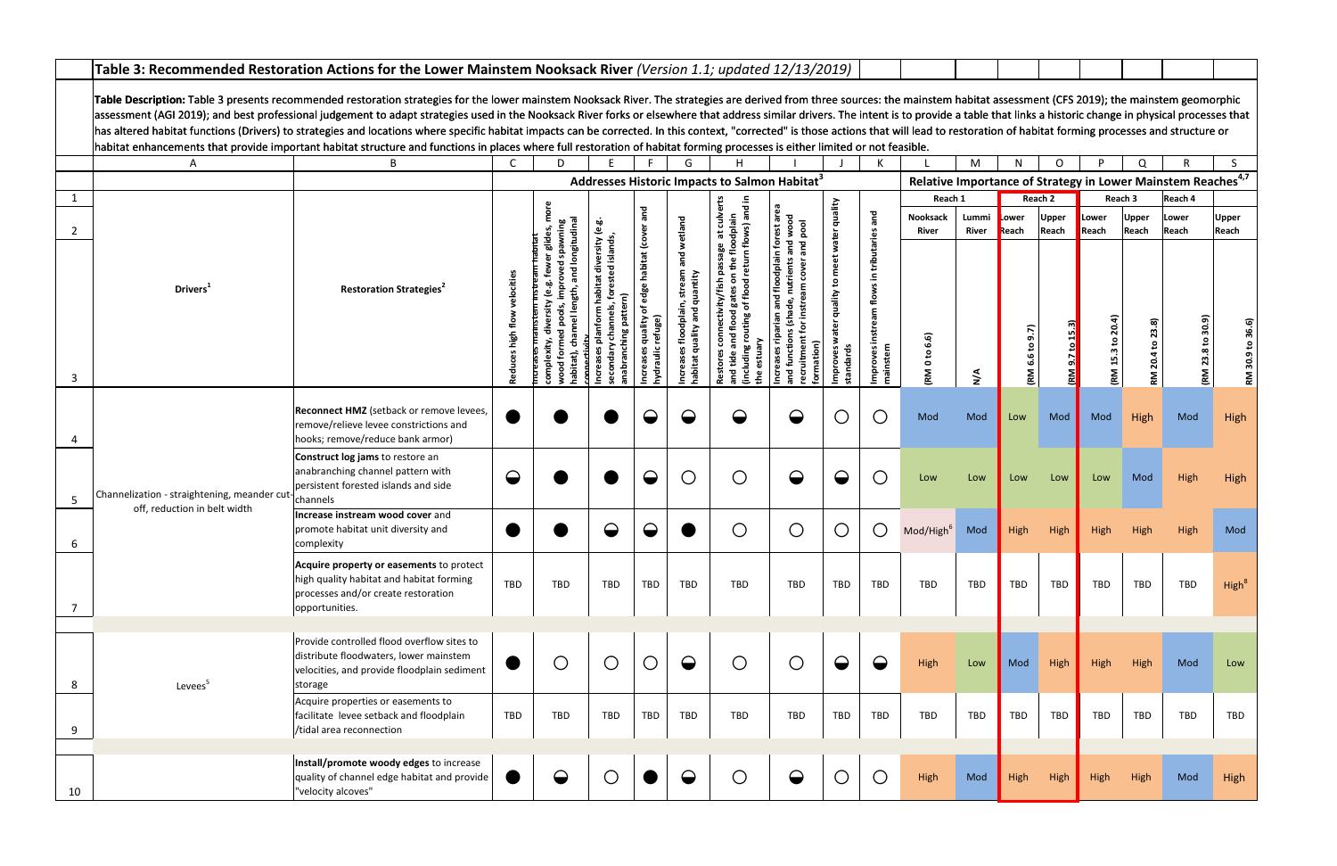|    | Table 3: Recommended Restoration Actions for the Lower Mainstem Nooksack River (Version 1.1; updated 12/13/2019)                                                                                                                                                                                                                                                                                                                                                                                                                                                                                                                                                                                                                                                                                                                                                                  |                                                                                                                                                |                      |            |                                                           |                                                                         |                                         |                                                           |                                          |                                          |                                                                       |                                |                |                          |                       |                 |                       |                                                                          |                       |
|----|-----------------------------------------------------------------------------------------------------------------------------------------------------------------------------------------------------------------------------------------------------------------------------------------------------------------------------------------------------------------------------------------------------------------------------------------------------------------------------------------------------------------------------------------------------------------------------------------------------------------------------------------------------------------------------------------------------------------------------------------------------------------------------------------------------------------------------------------------------------------------------------|------------------------------------------------------------------------------------------------------------------------------------------------|----------------------|------------|-----------------------------------------------------------|-------------------------------------------------------------------------|-----------------------------------------|-----------------------------------------------------------|------------------------------------------|------------------------------------------|-----------------------------------------------------------------------|--------------------------------|----------------|--------------------------|-----------------------|-----------------|-----------------------|--------------------------------------------------------------------------|-----------------------|
|    | Table Description: Table 3 presents recommended restoration strategies for the lower mainstem Nooksack River. The strategies are derived from three sources: the mainstem habitat assessment (CFS 2019); the mainstem geomorph<br>assessment (AGI 2019); and best professional judgement to adapt strategies used in the Nooksack River forks or elsewhere that address similar drivers. The intent is to provide a table that links a historic change in physic<br>has altered habitat functions (Drivers) to strategies and locations where specific habitat impacts can be corrected. In this context, "corrected" is those actions that will lead to restoration of habitat forming processes<br>habitat enhancements that provide important habitat structure and functions in places where full restoration of habitat forming processes is either limited or not feasible. |                                                                                                                                                |                      |            |                                                           |                                                                         |                                         |                                                           |                                          |                                          |                                                                       |                                |                |                          |                       |                 |                       |                                                                          |                       |
|    | A                                                                                                                                                                                                                                                                                                                                                                                                                                                                                                                                                                                                                                                                                                                                                                                                                                                                                 | B                                                                                                                                              | $\mathsf{C}$         | D          |                                                           |                                                                         | G                                       |                                                           |                                          |                                          |                                                                       |                                | M              | N                        | O                     | P               | Q                     |                                                                          |                       |
|    |                                                                                                                                                                                                                                                                                                                                                                                                                                                                                                                                                                                                                                                                                                                                                                                                                                                                                   |                                                                                                                                                |                      |            |                                                           |                                                                         |                                         | Addresses Historic Impacts to Salmon Habitat <sup>3</sup> |                                          |                                          |                                                                       |                                |                |                          |                       |                 |                       | Relative Importance of Strategy in Lower Mainstem Reaches <sup>4,7</sup> |                       |
|    |                                                                                                                                                                                                                                                                                                                                                                                                                                                                                                                                                                                                                                                                                                                                                                                                                                                                                   |                                                                                                                                                |                      |            |                                                           |                                                                         |                                         |                                                           |                                          |                                          |                                                                       | Reach 1                        |                |                          | Reach 2               |                 | Reach 3               | Reach 4                                                                  |                       |
| 2  |                                                                                                                                                                                                                                                                                                                                                                                                                                                                                                                                                                                                                                                                                                                                                                                                                                                                                   |                                                                                                                                                |                      |            |                                                           | and                                                                     |                                         | at culv<br>pdplain                                        | forest are<br>nd wood<br>pool            | quality                                  | and                                                                   | Nooksack<br>River              | Lummi<br>River | Lower<br>Reach           | <b>Upper</b><br>Reach | Lower<br>Reach  | <b>Upper</b><br>Reach | Lower<br>Reach                                                           | <b>Upper</b><br>Reach |
|    |                                                                                                                                                                                                                                                                                                                                                                                                                                                                                                                                                                                                                                                                                                                                                                                                                                                                                   |                                                                                                                                                |                      |            |                                                           |                                                                         |                                         | flows)                                                    | and<br>and                               | water                                    |                                                                       |                                |                |                          |                       |                 |                       |                                                                          |                       |
| 3  | Drivers <sup>1</sup>                                                                                                                                                                                                                                                                                                                                                                                                                                                                                                                                                                                                                                                                                                                                                                                                                                                              | <b>Restoration Strategies<sup>2</sup></b>                                                                                                      | velocitie<br>Reduces |            | diversity<br>ed island<br>habitat<br>nabranching pattern) | edge habitat (cover<br>৳<br>quality<br>refuge)<br>ncreases<br>nydraulic | and wetland<br>stream<br>quantity<br>€ِ | flood                                                     | floodplain<br>nutrients<br>겯<br>prmation | meet<br>quality to<br>mproves<br>standar | tributaries<br>$\equiv$<br>flows<br>instream<br>Improvesi<br>mainstem | 6.6)<br>٩,<br>$\bullet$<br>(RM | $\frac{4}{5}$  | 9.7)<br><u>ه.</u><br>(RM |                       | <u>ຊ</u><br>(RM |                       | 30.9)<br>23.8 to<br><b>EM</b>                                            | <b>RM</b>             |
|    | Channelization - straightening, meander cut $\left  \right $ channels<br>off, reduction in belt width                                                                                                                                                                                                                                                                                                                                                                                                                                                                                                                                                                                                                                                                                                                                                                             | Reconnect HMZ (setback or remove levees,<br>remove/relieve levee constrictions and<br>hooks; remove/reduce bank armor)                         |                      |            |                                                           |                                                                         |                                         |                                                           | $\mathbf\Theta$                          | O                                        | $\bigcirc$                                                            | Mod                            | Mod            | Low                      | Mod                   | Mod             | High                  | Mod                                                                      | High                  |
| 5  |                                                                                                                                                                                                                                                                                                                                                                                                                                                                                                                                                                                                                                                                                                                                                                                                                                                                                   | Construct log jams to restore an<br>anabranching channel pattern with<br>persistent forested islands and side                                  |                      |            |                                                           | $\mathbf\Theta$                                                         | $\bigcirc$                              | $\bigcirc$                                                | $\ominus$                                | $\mathbf\Theta$                          | $\bigcirc$                                                            | Low                            | Low            | Low                      | Low                   | Low             | Mod                   | High                                                                     | High                  |
|    |                                                                                                                                                                                                                                                                                                                                                                                                                                                                                                                                                                                                                                                                                                                                                                                                                                                                                   | Increase instream wood cover and<br>promote habitat unit diversity and<br>complexity                                                           |                      |            |                                                           |                                                                         |                                         | $\bigcap$                                                 | $(\ )$                                   |                                          | $\bigcirc$                                                            | Mod/High <sup>6</sup>          | Mod            | <b>High</b>              | High                  |                 |                       | High                                                                     | Mod                   |
| 7  |                                                                                                                                                                                                                                                                                                                                                                                                                                                                                                                                                                                                                                                                                                                                                                                                                                                                                   | Acquire property or easements to protect<br>high quality habitat and habitat forming<br>processes and/or create restoration<br>opportunities.  | TBD                  | TBD        | TBD                                                       | TBD                                                                     | TBD                                     | TBD                                                       | TBD                                      | TBD                                      | TBD                                                                   | <b>TBD</b>                     | <b>TBD</b>     | TBD                      | TBD                   | TBD             | <b>TBD</b>            | TBD                                                                      | High <sup>8</sup>     |
|    |                                                                                                                                                                                                                                                                                                                                                                                                                                                                                                                                                                                                                                                                                                                                                                                                                                                                                   |                                                                                                                                                |                      |            |                                                           |                                                                         |                                         |                                                           |                                          |                                          |                                                                       |                                |                |                          |                       |                 |                       |                                                                          |                       |
| 8  | Levees <sup>5</sup>                                                                                                                                                                                                                                                                                                                                                                                                                                                                                                                                                                                                                                                                                                                                                                                                                                                               | Provide controlled flood overflow sites to<br>distribute floodwaters, lower mainstem<br>velocities, and provide floodplain sediment<br>storage |                      | $\bigcirc$ | $\bigcirc$                                                | $\bigcirc$                                                              | $\Theta$                                | $\bigcirc$                                                | $\bigcirc$                               | $\Theta$                                 | $\bullet$                                                             | High                           | Low            | Mod                      | High                  | High            | High                  | Mod                                                                      | Low                   |
| 9  |                                                                                                                                                                                                                                                                                                                                                                                                                                                                                                                                                                                                                                                                                                                                                                                                                                                                                   | Acquire properties or easements to<br>facilitate levee setback and floodplain<br>/tidal area reconnection                                      | TBD                  | TBD        | TBD                                                       | TBD                                                                     | TBD                                     | TBD                                                       | TBD                                      | TBD                                      | <b>TBD</b>                                                            | <b>TBD</b>                     | TBD            | TBD                      | <b>TBD</b>            | TBD             | TBD                   | TBD                                                                      | TBD                   |
| 10 |                                                                                                                                                                                                                                                                                                                                                                                                                                                                                                                                                                                                                                                                                                                                                                                                                                                                                   | Install/promote woody edges to increase<br>quality of channel edge habitat and provide<br>"velocity alcoves"                                   |                      |            | O                                                         |                                                                         |                                         | $\bigcirc$                                                | $\bigodot$                               | $\bigcirc$                               | $\bigcirc$                                                            | High                           | Mod            | High                     | High                  | High            | High                  | Mod                                                                      | High                  |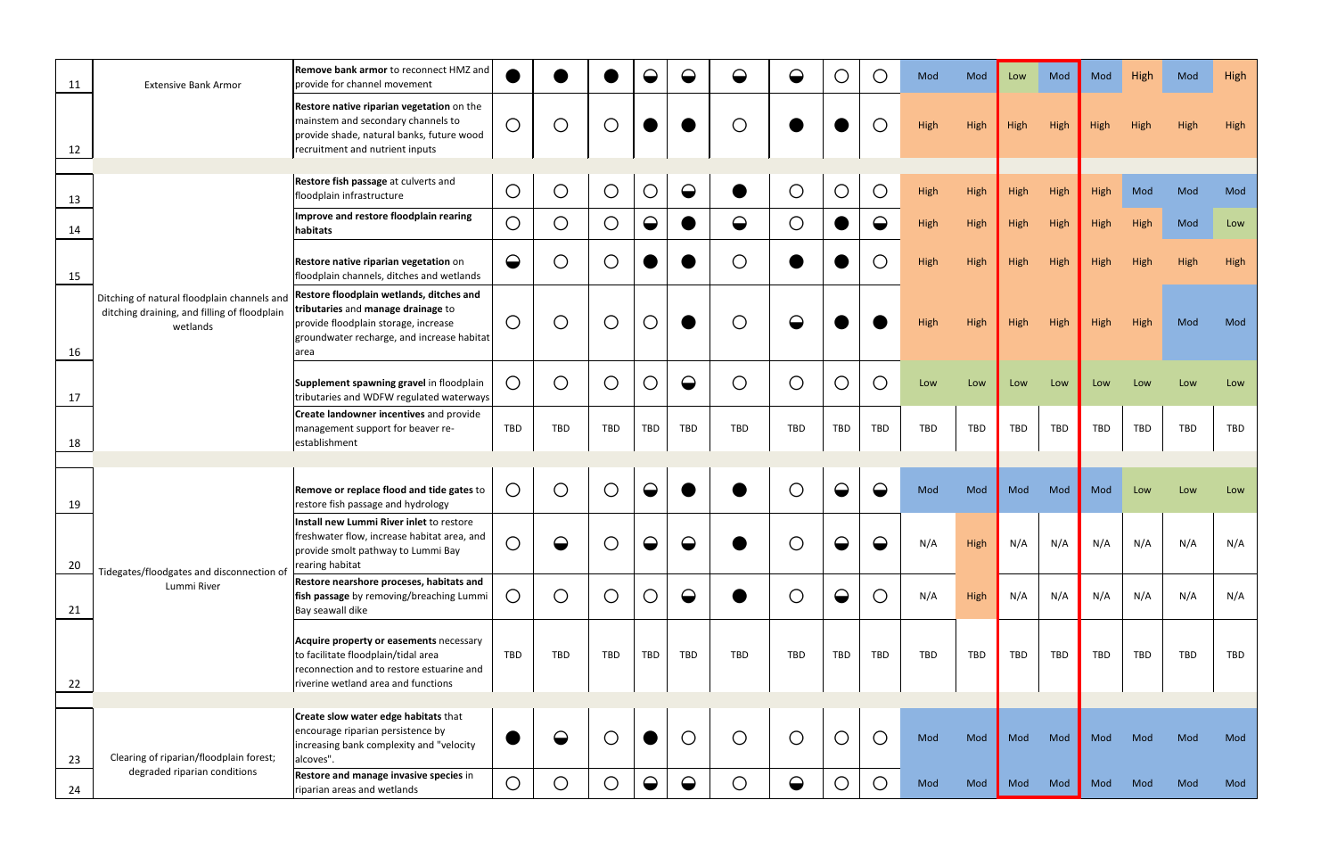| 11 | <b>Extensive Bank Armor</b>                                                                             | Remove bank armor to reconnect HMZ and<br>provide for channel movement                                                                                                       |            |             |            | $\mathbf\Theta$ | $\boldsymbol{\Theta}$ | $\mathbf\Theta$ | $\mathbf\Theta$       | O           | $\bigcirc$  | Mod        | Mod  | Low  | Mod        | Mod  | High | Mod        | High |
|----|---------------------------------------------------------------------------------------------------------|------------------------------------------------------------------------------------------------------------------------------------------------------------------------------|------------|-------------|------------|-----------------|-----------------------|-----------------|-----------------------|-------------|-------------|------------|------|------|------------|------|------|------------|------|
| 12 |                                                                                                         | Restore native riparian vegetation on the<br>mainstem and secondary channels to<br>provide shade, natural banks, future wood<br>recruitment and nutrient inputs              | $\bigcirc$ | $\bigcirc$  | O          |                 |                       | $\bigcap$       |                       |             |             | High       | High | High | High       | High | High | High       | High |
|    |                                                                                                         | Restore fish passage at culverts and                                                                                                                                         |            |             |            |                 |                       |                 |                       |             |             |            |      |      |            |      |      |            |      |
| 13 |                                                                                                         | floodplain infrastructure                                                                                                                                                    | $\bigcirc$ | $\bigcirc$  | $\bigcirc$ | $\bigcirc$      | $\bigodot$            |                 | $\bigcirc$            | $\bigcirc$  | $\bigcirc$  | High       | High | High | High       | High | Mod  | Mod        | Mod  |
| 14 |                                                                                                         | Improve and restore floodplain rearing<br>habitats                                                                                                                           | $\bigcirc$ | $\bigcirc$  | $\bigcirc$ | $\bigodot$      |                       | $\bullet$       | $\bigcirc$            |             | $\bullet$   | High       | High | High | High       | High | High | Mod        | Low  |
| 15 | Ditching of natural floodplain channels and<br>ditching draining, and filling of floodplain<br>wetlands | Restore native riparian vegetation on<br>floodplain channels, ditches and wetlands                                                                                           | $\bigodot$ | O           | $\bigcirc$ |                 |                       | $\bigcirc$      |                       |             | $\bigcap$   | High       | High | High | High       | High | High |            | High |
| 16 |                                                                                                         | Restore floodplain wetlands, ditches and<br>tributaries and manage drainage to<br>provide floodplain storage, increase<br>groundwater recharge, and increase habitat<br>area | $\bigcirc$ | $\bigcirc$  | $\bigcirc$ | $\bigcirc$      |                       | C               |                       |             |             | High       | High | High | High       | High | High | Mod        | Mod  |
| 17 |                                                                                                         | Supplement spawning gravel in floodplain<br>tributaries and WDFW regulated waterways                                                                                         | O          | $\bigcirc$  | $\bigcirc$ | $\bigcirc$      | $\Theta$              | $\bigcirc$      | $\bigcirc$            | $\bigcirc$  | $\bigcirc$  | Low        | Low  | Low  | Low        | Low  | Low  | Low        | Low  |
| 18 |                                                                                                         | <b>Create landowner incentives</b> and provide<br>management support for beaver re-<br>establishment                                                                         | TBD        | TBD         | TBD        | TBD             | TBD                   | TBD             | TBD                   | TBD         | <b>TBD</b>  | TBD        | TBD  | TBD  | TBD        | TBD  | TBD  | <b>TBD</b> | TBD  |
|    |                                                                                                         |                                                                                                                                                                              |            |             |            |                 |                       |                 |                       |             |             |            |      |      |            |      |      |            |      |
| 19 |                                                                                                         | Remove or replace flood and tide gates to<br>restore fish passage and hydrology                                                                                              | $\bigcirc$ | ◯           | $\bigcirc$ | ◒               |                       |                 | O                     |             |             | Mod        | Mod  | Mod  | Mod        | Mod  | Low  | Low        | Low  |
| 20 |                                                                                                         | Install new Lummi River inlet to restore<br>freshwater flow, increase habitat area, and<br>provide smolt pathway to Lummi Bay<br>rearing habitat                             | $\bigcirc$ | $\triangle$ | $\bigcap$  | △               | $\bigcirc$            |                 | $\bigcap$             | $\triangle$ | $\triangle$ | N/A        | High | N/A  | N/A        | N/A  | N/A  | N/A        | N/A  |
| 21 | Tidegates/floodgates and disconnection of<br>Lummi River                                                | Restore nearshore proceses, habitats and<br>fish passage by removing/breaching Lummi<br>Bay seawall dike                                                                     | Ő          | $\bigcirc$  | $\bigcirc$ | $\bigcirc$      | $\Theta$              |                 | $\bigcirc$            | $\bigodot$  | $\bigcirc$  | N/A        | High | N/A  | N/A        | N/A  | N/A  | N/A        | N/A  |
| 22 |                                                                                                         | Acquire property or easements necessary<br>to facilitate floodplain/tidal area<br>reconnection and to restore estuarine and<br>riverine wetland area and functions           | TBD        | <b>TBD</b>  | TBD        | <b>TBD</b>      | TBD                   | TBD             | TBD                   | TBD         | TBD         | <b>TBD</b> | TBD  | TBD  | <b>TBD</b> | TBD  | TBD  | <b>TBD</b> | TBD  |
|    |                                                                                                         |                                                                                                                                                                              |            |             |            |                 |                       |                 |                       |             |             |            |      |      |            |      |      |            |      |
| 23 | Clearing of riparian/floodplain forest;                                                                 | <b>Create slow water edge habitats that</b><br>encourage riparian persistence by<br>increasing bank complexity and "velocity<br>alcoves".                                    |            |             | $\bigcirc$ |                 | $\bigcirc$            | $\bigcirc$      | $\bigcirc$            | $\bigcirc$  | $\bigcirc$  | Mod        | Mod  | Mod  | Mod        | Mod  | Mod  | Mod        | Mod  |
| 24 | degraded riparian conditions                                                                            | Restore and manage invasive species in<br>riparian areas and wetlands                                                                                                        | $\bigcirc$ | $\bigcirc$  | $\bigcirc$ | $\bigodot$      | $\Theta$              | $\bigcirc$      | $\boldsymbol{\Theta}$ | $\bigcirc$  | $\bigcirc$  | Mod        | Mod  | Mod  | Mod        | Mod  | Mod  | Mod        | Mod  |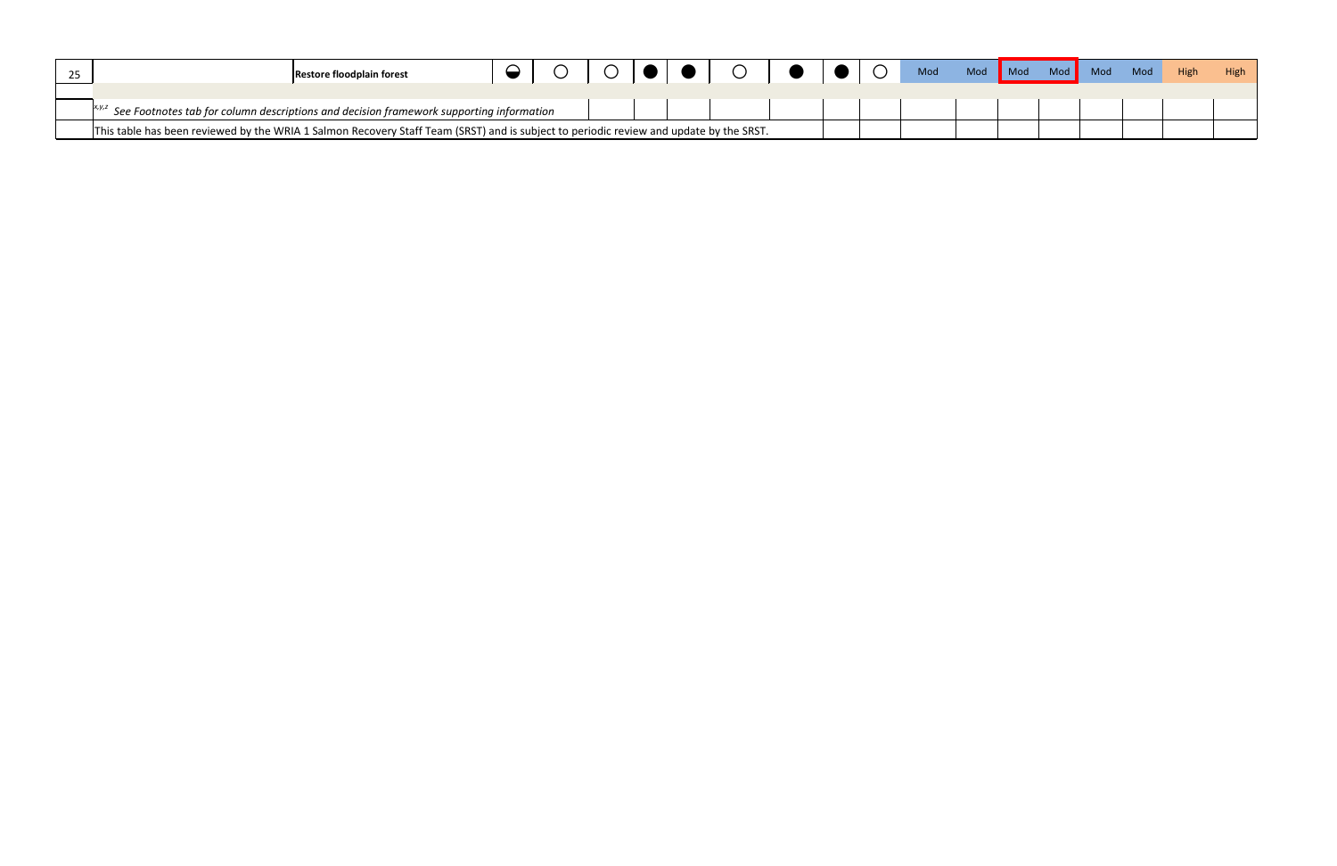| 25                                                                                                      | <b>Restore floodplain forest</b>                                                                                                       |  |  |  |  |  |  |  |  |  | Mod | Mod | $\blacksquare$ Mod |  | Mod Mod | Mod <b>Mod</b> | High | High |
|---------------------------------------------------------------------------------------------------------|----------------------------------------------------------------------------------------------------------------------------------------|--|--|--|--|--|--|--|--|--|-----|-----|--------------------|--|---------|----------------|------|------|
| $\vert^{x,y,z}$ See Footnotes tab for column descriptions and decision framework supporting information |                                                                                                                                        |  |  |  |  |  |  |  |  |  |     |     |                    |  |         |                |      |      |
|                                                                                                         | This table has been reviewed by the WRIA 1 Salmon Recovery Staff Team (SRST) and is subject to periodic review and update by the SRST. |  |  |  |  |  |  |  |  |  |     |     |                    |  |         |                |      |      |